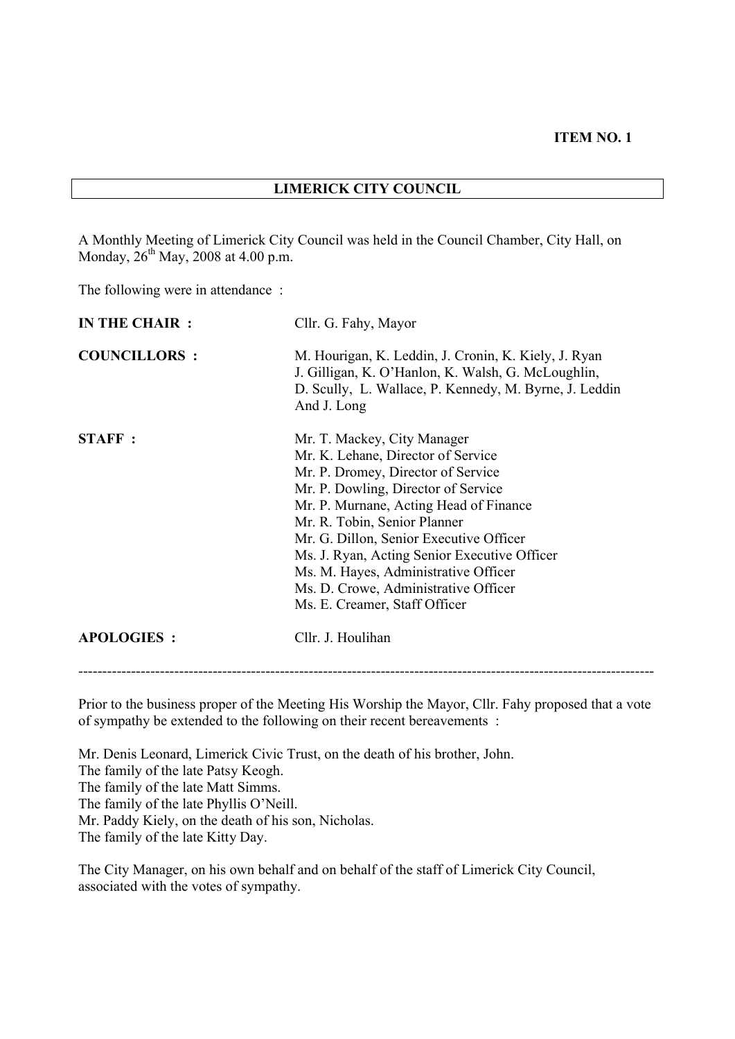#### **LIMERICK CITY COUNCIL**

A Monthly Meeting of Limerick City Council was held in the Council Chamber, City Hall, on Monday,  $26^{th}$  May, 2008 at 4.00 p.m.

The following were in attendance :

| IN THE CHAIR :      | Cllr. G. Fahy, Mayor                                                                                                                                                                                                                                                                                                                                                                                                                 |  |  |  |
|---------------------|--------------------------------------------------------------------------------------------------------------------------------------------------------------------------------------------------------------------------------------------------------------------------------------------------------------------------------------------------------------------------------------------------------------------------------------|--|--|--|
| <b>COUNCILLORS:</b> | M. Hourigan, K. Leddin, J. Cronin, K. Kiely, J. Ryan<br>J. Gilligan, K. O'Hanlon, K. Walsh, G. McLoughlin,<br>D. Scully, L. Wallace, P. Kennedy, M. Byrne, J. Leddin<br>And J. Long                                                                                                                                                                                                                                                  |  |  |  |
| <b>STAFF</b> :      | Mr. T. Mackey, City Manager<br>Mr. K. Lehane, Director of Service<br>Mr. P. Dromey, Director of Service<br>Mr. P. Dowling, Director of Service<br>Mr. P. Murnane, Acting Head of Finance<br>Mr. R. Tobin, Senior Planner<br>Mr. G. Dillon, Senior Executive Officer<br>Ms. J. Ryan, Acting Senior Executive Officer<br>Ms. M. Hayes, Administrative Officer<br>Ms. D. Crowe, Administrative Officer<br>Ms. E. Creamer, Staff Officer |  |  |  |
| <b>APOLOGIES:</b>   | Cllr. J. Houlihan                                                                                                                                                                                                                                                                                                                                                                                                                    |  |  |  |

------------------------------------------------------------------------------------------------------------------------

Prior to the business proper of the Meeting His Worship the Mayor, Cllr. Fahy proposed that a vote of sympathy be extended to the following on their recent bereavements :

Mr. Denis Leonard, Limerick Civic Trust, on the death of his brother, John. The family of the late Patsy Keogh. The family of the late Matt Simms. The family of the late Phyllis O'Neill. Mr. Paddy Kiely, on the death of his son, Nicholas. The family of the late Kitty Day.

The City Manager, on his own behalf and on behalf of the staff of Limerick City Council, associated with the votes of sympathy.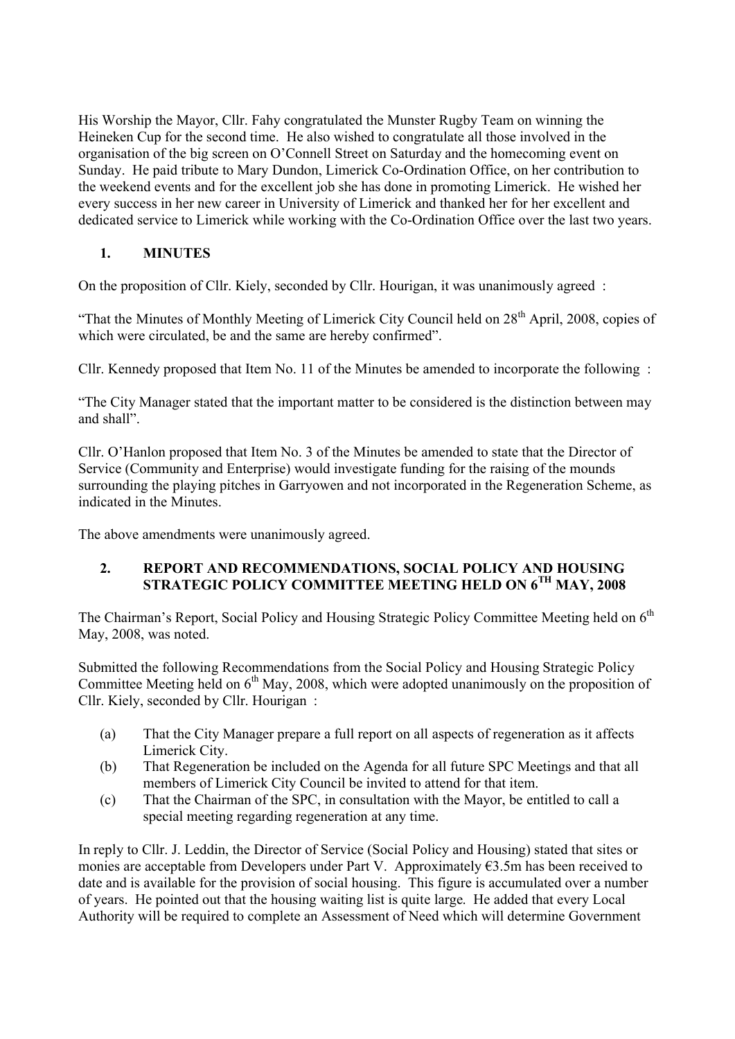His Worship the Mayor, Cllr. Fahy congratulated the Munster Rugby Team on winning the Heineken Cup for the second time. He also wished to congratulate all those involved in the organisation of the big screen on O'Connell Street on Saturday and the homecoming event on Sunday. He paid tribute to Mary Dundon, Limerick Co-Ordination Office, on her contribution to the weekend events and for the excellent job she has done in promoting Limerick. He wished her every success in her new career in University of Limerick and thanked her for her excellent and dedicated service to Limerick while working with the Co-Ordination Office over the last two years.

## **1. MINUTES**

On the proposition of Cllr. Kiely, seconded by Cllr. Hourigan, it was unanimously agreed :

"That the Minutes of Monthly Meeting of Limerick City Council held on 28<sup>th</sup> April, 2008, copies of which were circulated, be and the same are hereby confirmed".

Cllr. Kennedy proposed that Item No. 11 of the Minutes be amended to incorporate the following :

"The City Manager stated that the important matter to be considered is the distinction between may and shall".

Cllr. O'Hanlon proposed that Item No. 3 of the Minutes be amended to state that the Director of Service (Community and Enterprise) would investigate funding for the raising of the mounds surrounding the playing pitches in Garryowen and not incorporated in the Regeneration Scheme, as indicated in the Minutes.

The above amendments were unanimously agreed.

#### **2. REPORT AND RECOMMENDATIONS, SOCIAL POLICY AND HOUSING STRATEGIC POLICY COMMITTEE MEETING HELD ON 6TH MAY, 2008**

The Chairman's Report, Social Policy and Housing Strategic Policy Committee Meeting held on 6<sup>th</sup> May, 2008, was noted.

Submitted the following Recommendations from the Social Policy and Housing Strategic Policy Committee Meeting held on 6<sup>th</sup> May, 2008, which were adopted unanimously on the proposition of Cllr. Kiely, seconded by Cllr. Hourigan :

- (a) That the City Manager prepare a full report on all aspects of regeneration as it affects Limerick City.
- (b) That Regeneration be included on the Agenda for all future SPC Meetings and that all members of Limerick City Council be invited to attend for that item.
- (c) That the Chairman of the SPC, in consultation with the Mayor, be entitled to call a special meeting regarding regeneration at any time.

In reply to Cllr. J. Leddin, the Director of Service (Social Policy and Housing) stated that sites or monies are acceptable from Developers under Part V. Approximately  $\epsilon$ 3.5m has been received to date and is available for the provision of social housing. This figure is accumulated over a number of years. He pointed out that the housing waiting list is quite large. He added that every Local Authority will be required to complete an Assessment of Need which will determine Government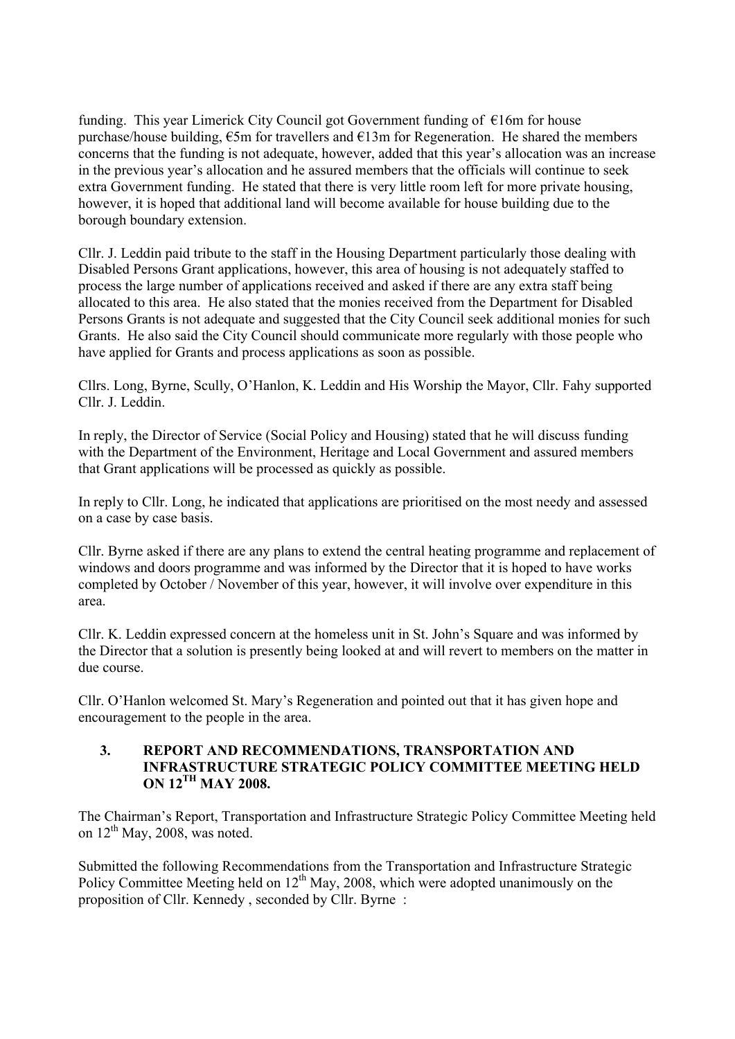funding. This year Limerick City Council got Government funding of  $\epsilon$ 16m for house purchase/house building,  $\epsilon$ 5m for travellers and  $\epsilon$ 13m for Regeneration. He shared the members concerns that the funding is not adequate, however, added that this year's allocation was an increase in the previous year's allocation and he assured members that the officials will continue to seek extra Government funding. He stated that there is very little room left for more private housing, however, it is hoped that additional land will become available for house building due to the borough boundary extension.

Cllr. J. Leddin paid tribute to the staff in the Housing Department particularly those dealing with Disabled Persons Grant applications, however, this area of housing is not adequately staffed to process the large number of applications received and asked if there are any extra staff being allocated to this area. He also stated that the monies received from the Department for Disabled Persons Grants is not adequate and suggested that the City Council seek additional monies for such Grants. He also said the City Council should communicate more regularly with those people who have applied for Grants and process applications as soon as possible.

Cllrs. Long, Byrne, Scully, O'Hanlon, K. Leddin and His Worship the Mayor, Cllr. Fahy supported Cllr. J. Leddin.

In reply, the Director of Service (Social Policy and Housing) stated that he will discuss funding with the Department of the Environment, Heritage and Local Government and assured members that Grant applications will be processed as quickly as possible.

In reply to Cllr. Long, he indicated that applications are prioritised on the most needy and assessed on a case by case basis.

Cllr. Byrne asked if there are any plans to extend the central heating programme and replacement of windows and doors programme and was informed by the Director that it is hoped to have works completed by October / November of this year, however, it will involve over expenditure in this area.

Cllr. K. Leddin expressed concern at the homeless unit in St. John's Square and was informed by the Director that a solution is presently being looked at and will revert to members on the matter in due course.

Cllr. O'Hanlon welcomed St. Mary's Regeneration and pointed out that it has given hope and encouragement to the people in the area.

#### **3. REPORT AND RECOMMENDATIONS, TRANSPORTATION AND INFRASTRUCTURE STRATEGIC POLICY COMMITTEE MEETING HELD ON 12TH MAY 2008.**

The Chairman's Report, Transportation and Infrastructure Strategic Policy Committee Meeting held on  $12<sup>th</sup>$  May, 2008, was noted.

Submitted the following Recommendations from the Transportation and Infrastructure Strategic Policy Committee Meeting held on  $12<sup>th</sup>$  May, 2008, which were adopted unanimously on the proposition of Cllr. Kennedy , seconded by Cllr. Byrne :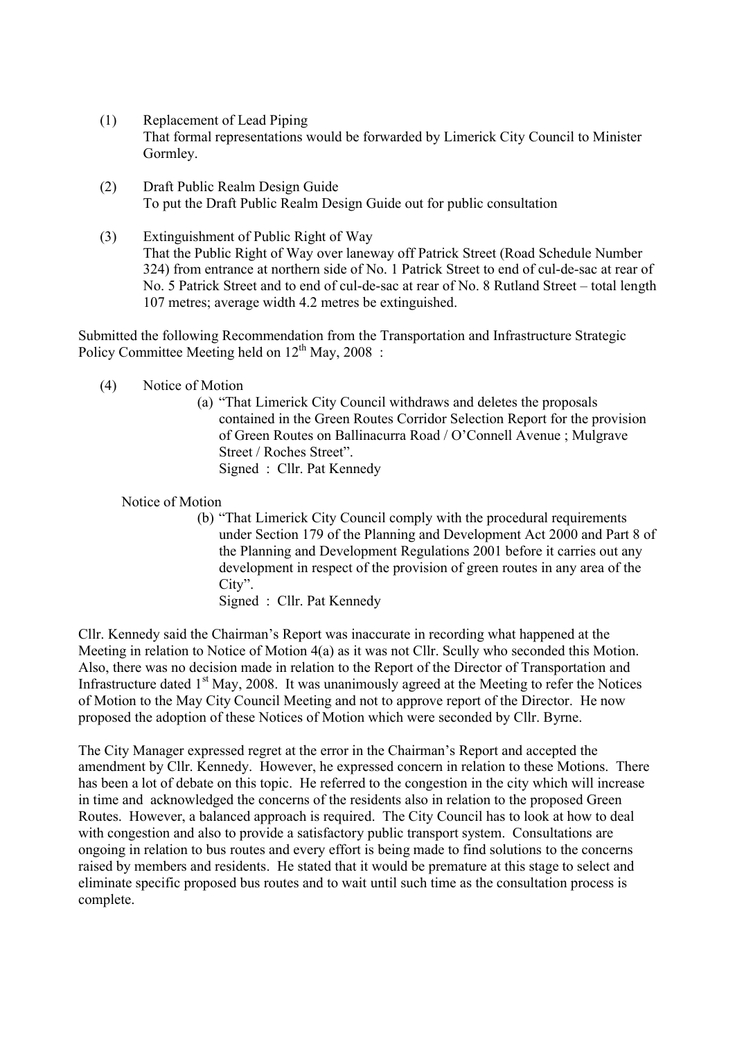- (1) Replacement of Lead Piping That formal representations would be forwarded by Limerick City Council to Minister Gormley.
- (2) Draft Public Realm Design Guide To put the Draft Public Realm Design Guide out for public consultation
- (3) Extinguishment of Public Right of Way That the Public Right of Way over laneway off Patrick Street (Road Schedule Number 324) from entrance at northern side of No. 1 Patrick Street to end of cul-de-sac at rear of No. 5 Patrick Street and to end of cul-de-sac at rear of No. 8 Rutland Street – total length 107 metres; average width 4.2 metres be extinguished.

Submitted the following Recommendation from the Transportation and Infrastructure Strategic Policy Committee Meeting held on  $12<sup>th</sup>$  May, 2008 :

- (4) Notice of Motion
	- (a) "That Limerick City Council withdraws and deletes the proposals contained in the Green Routes Corridor Selection Report for the provision of Green Routes on Ballinacurra Road / O'Connell Avenue ; Mulgrave Street / Roches Street". Signed : Cllr. Pat Kennedy

Notice of Motion

(b) "That Limerick City Council comply with the procedural requirements under Section 179 of the Planning and Development Act 2000 and Part 8 of the Planning and Development Regulations 2001 before it carries out any development in respect of the provision of green routes in any area of the City". Signed : Cllr. Pat Kennedy

Cllr. Kennedy said the Chairman's Report was inaccurate in recording what happened at the Meeting in relation to Notice of Motion 4(a) as it was not Cllr. Scully who seconded this Motion. Also, there was no decision made in relation to the Report of the Director of Transportation and Infrastructure dated  $1<sup>st</sup>$  May, 2008. It was unanimously agreed at the Meeting to refer the Notices of Motion to the May City Council Meeting and not to approve report of the Director. He now proposed the adoption of these Notices of Motion which were seconded by Cllr. Byrne.

The City Manager expressed regret at the error in the Chairman's Report and accepted the amendment by Cllr. Kennedy. However, he expressed concern in relation to these Motions. There has been a lot of debate on this topic. He referred to the congestion in the city which will increase in time and acknowledged the concerns of the residents also in relation to the proposed Green Routes. However, a balanced approach is required. The City Council has to look at how to deal with congestion and also to provide a satisfactory public transport system. Consultations are ongoing in relation to bus routes and every effort is being made to find solutions to the concerns raised by members and residents. He stated that it would be premature at this stage to select and eliminate specific proposed bus routes and to wait until such time as the consultation process is complete.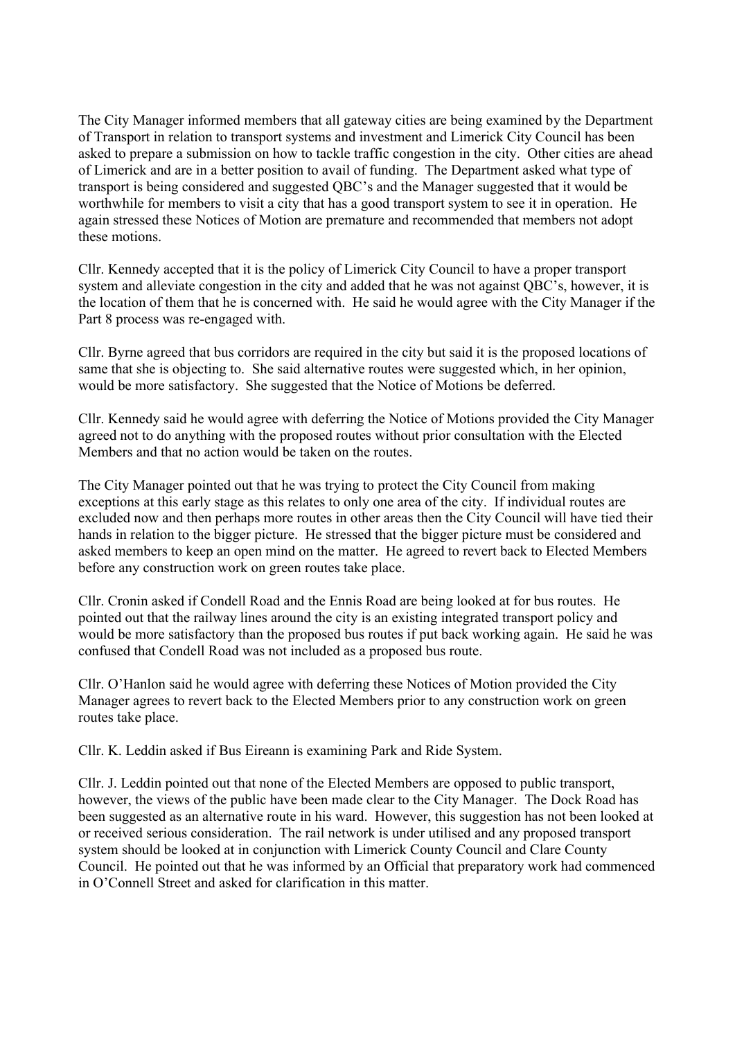The City Manager informed members that all gateway cities are being examined by the Department of Transport in relation to transport systems and investment and Limerick City Council has been asked to prepare a submission on how to tackle traffic congestion in the city. Other cities are ahead of Limerick and are in a better position to avail of funding. The Department asked what type of transport is being considered and suggested QBC's and the Manager suggested that it would be worthwhile for members to visit a city that has a good transport system to see it in operation. He again stressed these Notices of Motion are premature and recommended that members not adopt these motions.

Cllr. Kennedy accepted that it is the policy of Limerick City Council to have a proper transport system and alleviate congestion in the city and added that he was not against QBC's, however, it is the location of them that he is concerned with. He said he would agree with the City Manager if the Part 8 process was re-engaged with.

Cllr. Byrne agreed that bus corridors are required in the city but said it is the proposed locations of same that she is objecting to. She said alternative routes were suggested which, in her opinion, would be more satisfactory. She suggested that the Notice of Motions be deferred.

Cllr. Kennedy said he would agree with deferring the Notice of Motions provided the City Manager agreed not to do anything with the proposed routes without prior consultation with the Elected Members and that no action would be taken on the routes.

The City Manager pointed out that he was trying to protect the City Council from making exceptions at this early stage as this relates to only one area of the city. If individual routes are excluded now and then perhaps more routes in other areas then the City Council will have tied their hands in relation to the bigger picture. He stressed that the bigger picture must be considered and asked members to keep an open mind on the matter. He agreed to revert back to Elected Members before any construction work on green routes take place.

Cllr. Cronin asked if Condell Road and the Ennis Road are being looked at for bus routes. He pointed out that the railway lines around the city is an existing integrated transport policy and would be more satisfactory than the proposed bus routes if put back working again. He said he was confused that Condell Road was not included as a proposed bus route.

Cllr. O'Hanlon said he would agree with deferring these Notices of Motion provided the City Manager agrees to revert back to the Elected Members prior to any construction work on green routes take place.

Cllr. K. Leddin asked if Bus Eireann is examining Park and Ride System.

Cllr. J. Leddin pointed out that none of the Elected Members are opposed to public transport, however, the views of the public have been made clear to the City Manager. The Dock Road has been suggested as an alternative route in his ward. However, this suggestion has not been looked at or received serious consideration. The rail network is under utilised and any proposed transport system should be looked at in conjunction with Limerick County Council and Clare County Council. He pointed out that he was informed by an Official that preparatory work had commenced in O'Connell Street and asked for clarification in this matter.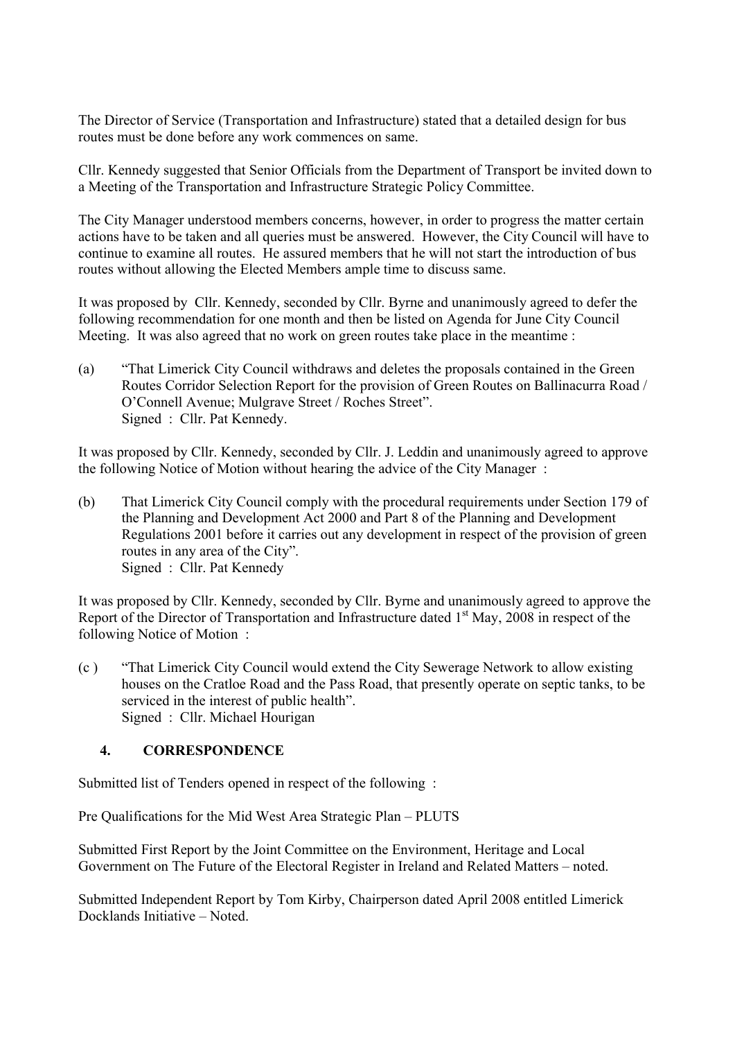The Director of Service (Transportation and Infrastructure) stated that a detailed design for bus routes must be done before any work commences on same.

Cllr. Kennedy suggested that Senior Officials from the Department of Transport be invited down to a Meeting of the Transportation and Infrastructure Strategic Policy Committee.

The City Manager understood members concerns, however, in order to progress the matter certain actions have to be taken and all queries must be answered. However, the City Council will have to continue to examine all routes. He assured members that he will not start the introduction of bus routes without allowing the Elected Members ample time to discuss same.

It was proposed by Cllr. Kennedy, seconded by Cllr. Byrne and unanimously agreed to defer the following recommendation for one month and then be listed on Agenda for June City Council Meeting. It was also agreed that no work on green routes take place in the meantime :

(a) "That Limerick City Council withdraws and deletes the proposals contained in the Green Routes Corridor Selection Report for the provision of Green Routes on Ballinacurra Road / O'Connell Avenue; Mulgrave Street / Roches Street". Signed : Cllr. Pat Kennedy.

It was proposed by Cllr. Kennedy, seconded by Cllr. J. Leddin and unanimously agreed to approve the following Notice of Motion without hearing the advice of the City Manager :

(b) That Limerick City Council comply with the procedural requirements under Section 179 of the Planning and Development Act 2000 and Part 8 of the Planning and Development Regulations 2001 before it carries out any development in respect of the provision of green routes in any area of the City". Signed : Cllr. Pat Kennedy

It was proposed by Cllr. Kennedy, seconded by Cllr. Byrne and unanimously agreed to approve the Report of the Director of Transportation and Infrastructure dated 1<sup>st</sup> May, 2008 in respect of the following Notice of Motion :

(c ) "That Limerick City Council would extend the City Sewerage Network to allow existing houses on the Cratloe Road and the Pass Road, that presently operate on septic tanks, to be serviced in the interest of public health". Signed : Cllr. Michael Hourigan

## **4. CORRESPONDENCE**

Submitted list of Tenders opened in respect of the following :

Pre Qualifications for the Mid West Area Strategic Plan – PLUTS

Submitted First Report by the Joint Committee on the Environment, Heritage and Local Government on The Future of the Electoral Register in Ireland and Related Matters – noted.

Submitted Independent Report by Tom Kirby, Chairperson dated April 2008 entitled Limerick Docklands Initiative – Noted.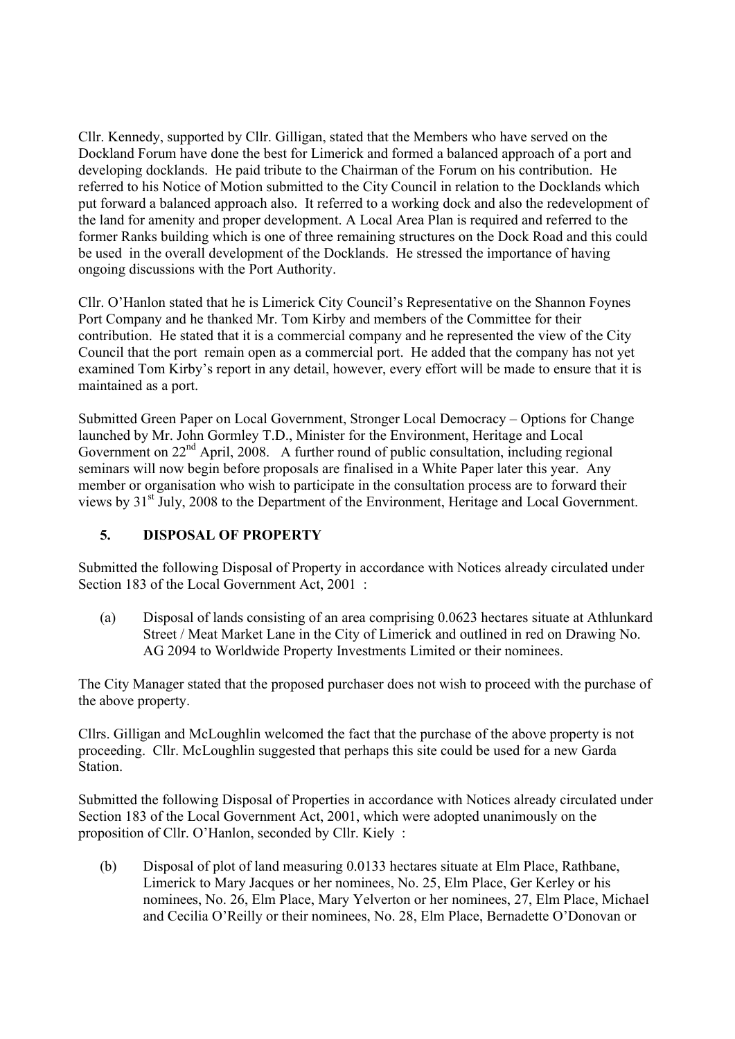Cllr. Kennedy, supported by Cllr. Gilligan, stated that the Members who have served on the Dockland Forum have done the best for Limerick and formed a balanced approach of a port and developing docklands. He paid tribute to the Chairman of the Forum on his contribution. He referred to his Notice of Motion submitted to the City Council in relation to the Docklands which put forward a balanced approach also. It referred to a working dock and also the redevelopment of the land for amenity and proper development. A Local Area Plan is required and referred to the former Ranks building which is one of three remaining structures on the Dock Road and this could be used in the overall development of the Docklands. He stressed the importance of having ongoing discussions with the Port Authority.

Cllr. O'Hanlon stated that he is Limerick City Council's Representative on the Shannon Foynes Port Company and he thanked Mr. Tom Kirby and members of the Committee for their contribution. He stated that it is a commercial company and he represented the view of the City Council that the port remain open as a commercial port. He added that the company has not yet examined Tom Kirby's report in any detail, however, every effort will be made to ensure that it is maintained as a port.

Submitted Green Paper on Local Government, Stronger Local Democracy – Options for Change launched by Mr. John Gormley T.D., Minister for the Environment, Heritage and Local Government on 22<sup>nd</sup> April, 2008. A further round of public consultation, including regional seminars will now begin before proposals are finalised in a White Paper later this year. Any member or organisation who wish to participate in the consultation process are to forward their views by 31<sup>st</sup> July, 2008 to the Department of the Environment, Heritage and Local Government.

## **5. DISPOSAL OF PROPERTY**

Submitted the following Disposal of Property in accordance with Notices already circulated under Section 183 of the Local Government Act, 2001 :

(a) Disposal of lands consisting of an area comprising 0.0623 hectares situate at Athlunkard Street / Meat Market Lane in the City of Limerick and outlined in red on Drawing No. AG 2094 to Worldwide Property Investments Limited or their nominees.

The City Manager stated that the proposed purchaser does not wish to proceed with the purchase of the above property.

Cllrs. Gilligan and McLoughlin welcomed the fact that the purchase of the above property is not proceeding. Cllr. McLoughlin suggested that perhaps this site could be used for a new Garda Station.

Submitted the following Disposal of Properties in accordance with Notices already circulated under Section 183 of the Local Government Act, 2001, which were adopted unanimously on the proposition of Cllr. O'Hanlon, seconded by Cllr. Kiely :

(b) Disposal of plot of land measuring 0.0133 hectares situate at Elm Place, Rathbane, Limerick to Mary Jacques or her nominees, No. 25, Elm Place, Ger Kerley or his nominees, No. 26, Elm Place, Mary Yelverton or her nominees, 27, Elm Place, Michael and Cecilia O'Reilly or their nominees, No. 28, Elm Place, Bernadette O'Donovan or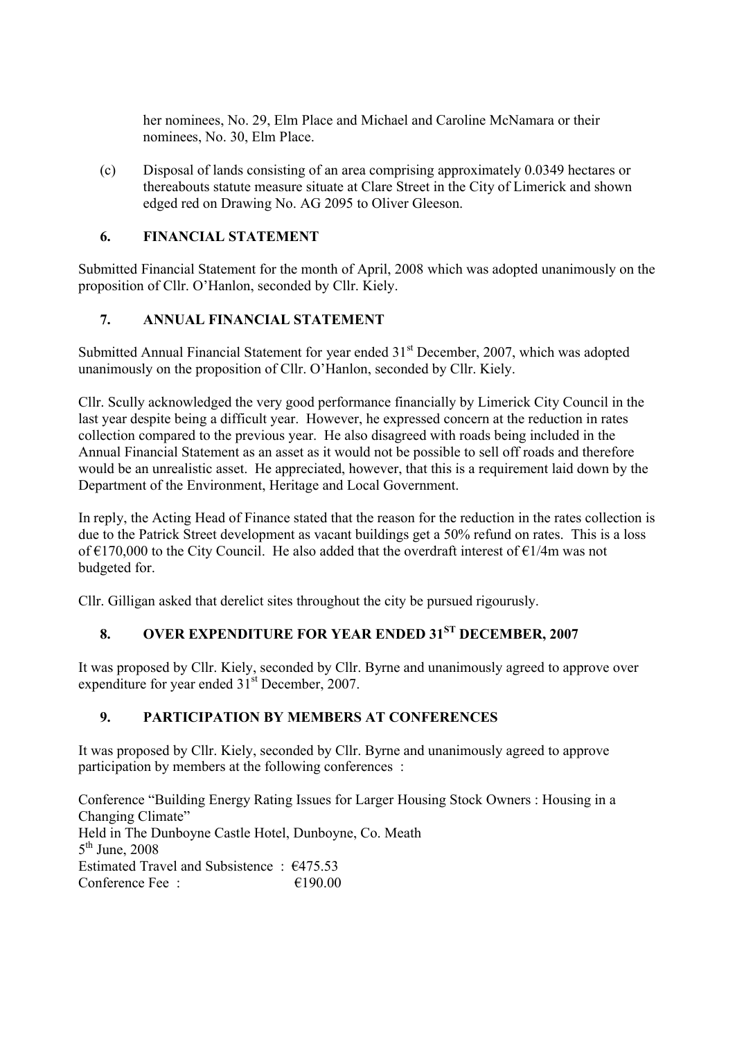her nominees, No. 29, Elm Place and Michael and Caroline McNamara or their nominees, No. 30, Elm Place.

(c) Disposal of lands consisting of an area comprising approximately 0.0349 hectares or thereabouts statute measure situate at Clare Street in the City of Limerick and shown edged red on Drawing No. AG 2095 to Oliver Gleeson.

## **6. FINANCIAL STATEMENT**

Submitted Financial Statement for the month of April, 2008 which was adopted unanimously on the proposition of Cllr. O'Hanlon, seconded by Cllr. Kiely.

## **7. ANNUAL FINANCIAL STATEMENT**

Submitted Annual Financial Statement for year ended 31<sup>st</sup> December, 2007, which was adopted unanimously on the proposition of Cllr. O'Hanlon, seconded by Cllr. Kiely.

Cllr. Scully acknowledged the very good performance financially by Limerick City Council in the last year despite being a difficult year. However, he expressed concern at the reduction in rates collection compared to the previous year. He also disagreed with roads being included in the Annual Financial Statement as an asset as it would not be possible to sell off roads and therefore would be an unrealistic asset. He appreciated, however, that this is a requirement laid down by the Department of the Environment, Heritage and Local Government.

In reply, the Acting Head of Finance stated that the reason for the reduction in the rates collection is due to the Patrick Street development as vacant buildings get a 50% refund on rates. This is a loss of €170,000 to the City Council. He also added that the overdraft interest of €1/4m was not budgeted for.

Cllr. Gilligan asked that derelict sites throughout the city be pursued rigourusly.

## **8. OVER EXPENDITURE FOR YEAR ENDED 31ST DECEMBER, 2007**

It was proposed by Cllr. Kiely, seconded by Cllr. Byrne and unanimously agreed to approve over expenditure for year ended  $31<sup>st</sup>$  December, 2007.

## **9. PARTICIPATION BY MEMBERS AT CONFERENCES**

It was proposed by Cllr. Kiely, seconded by Cllr. Byrne and unanimously agreed to approve participation by members at the following conferences :

Conference "Building Energy Rating Issues for Larger Housing Stock Owners : Housing in a Changing Climate" Held in The Dunboyne Castle Hotel, Dunboyne, Co. Meath  $5<sup>th</sup>$  June, 2008 Estimated Travel and Subsistence : €475.53 Conference Fee :  $\epsilon$  190.00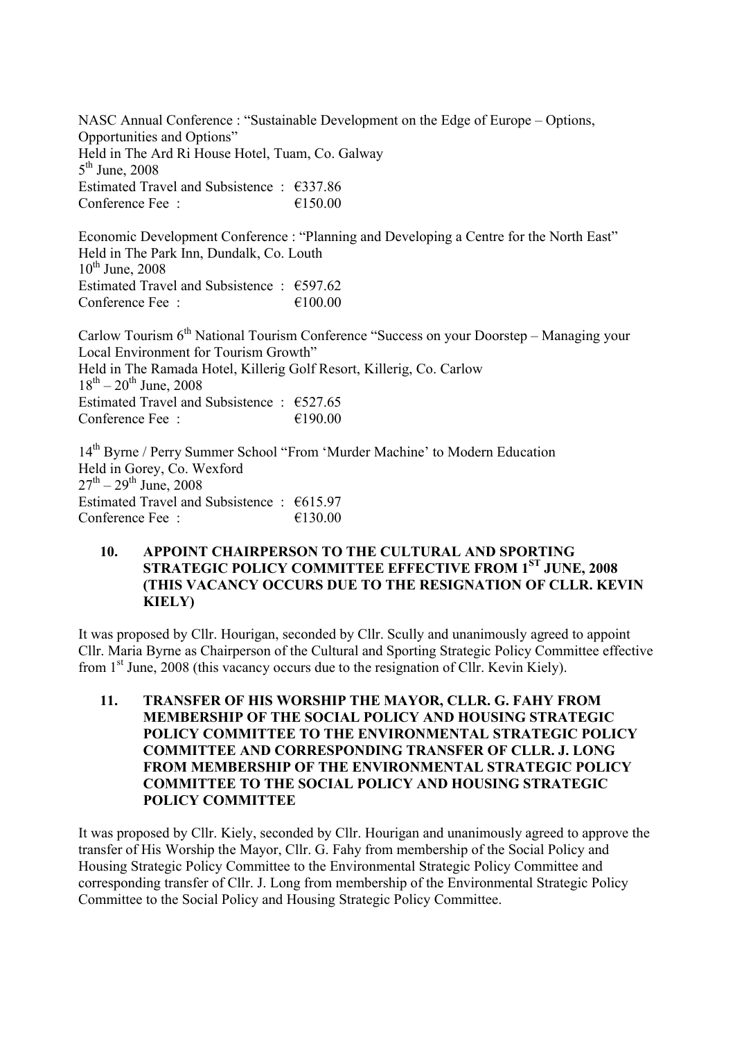NASC Annual Conference : "Sustainable Development on the Edge of Europe – Options, Opportunities and Options" Held in The Ard Ri House Hotel, Tuam, Co. Galway  $5<sup>th</sup>$  June, 2008 Estimated Travel and Subsistence : €337.86 Conference Fee :  $\epsilon$  =  $\epsilon$  150.00

Economic Development Conference : "Planning and Developing a Centre for the North East" Held in The Park Inn, Dundalk, Co. Louth  $10^{th}$  June, 2008 Estimated Travel and Subsistence :  $\epsilon$ 597.62 Conference Fee  $\cdot$   $\epsilon$  100.00

Carlow Tourism 6<sup>th</sup> National Tourism Conference "Success on your Doorstep – Managing your Local Environment for Tourism Growth" Held in The Ramada Hotel, Killerig Golf Resort, Killerig, Co. Carlow  $18^{th} - 20^{th}$  June, 2008 Estimated Travel and Subsistence :  $€527.65$ Conference Fee :  $\epsilon$  190.00

14th Byrne / Perry Summer School "From 'Murder Machine' to Modern Education Held in Gorey, Co. Wexford  $27^{th} - 29^{th}$  June, 2008 Estimated Travel and Subsistence :  $€615.97$ Conference Fee :  $\epsilon$  =  $\epsilon$  130.00

### **10. APPOINT CHAIRPERSON TO THE CULTURAL AND SPORTING STRATEGIC POLICY COMMITTEE EFFECTIVE FROM 1ST JUNE, 2008 (THIS VACANCY OCCURS DUE TO THE RESIGNATION OF CLLR. KEVIN KIELY)**

It was proposed by Cllr. Hourigan, seconded by Cllr. Scully and unanimously agreed to appoint Cllr. Maria Byrne as Chairperson of the Cultural and Sporting Strategic Policy Committee effective from 1st June, 2008 (this vacancy occurs due to the resignation of Cllr. Kevin Kiely).

**11. TRANSFER OF HIS WORSHIP THE MAYOR, CLLR. G. FAHY FROM MEMBERSHIP OF THE SOCIAL POLICY AND HOUSING STRATEGIC POLICY COMMITTEE TO THE ENVIRONMENTAL STRATEGIC POLICY COMMITTEE AND CORRESPONDING TRANSFER OF CLLR. J. LONG FROM MEMBERSHIP OF THE ENVIRONMENTAL STRATEGIC POLICY COMMITTEE TO THE SOCIAL POLICY AND HOUSING STRATEGIC POLICY COMMITTEE**

It was proposed by Cllr. Kiely, seconded by Cllr. Hourigan and unanimously agreed to approve the transfer of His Worship the Mayor, Cllr. G. Fahy from membership of the Social Policy and Housing Strategic Policy Committee to the Environmental Strategic Policy Committee and corresponding transfer of Cllr. J. Long from membership of the Environmental Strategic Policy Committee to the Social Policy and Housing Strategic Policy Committee.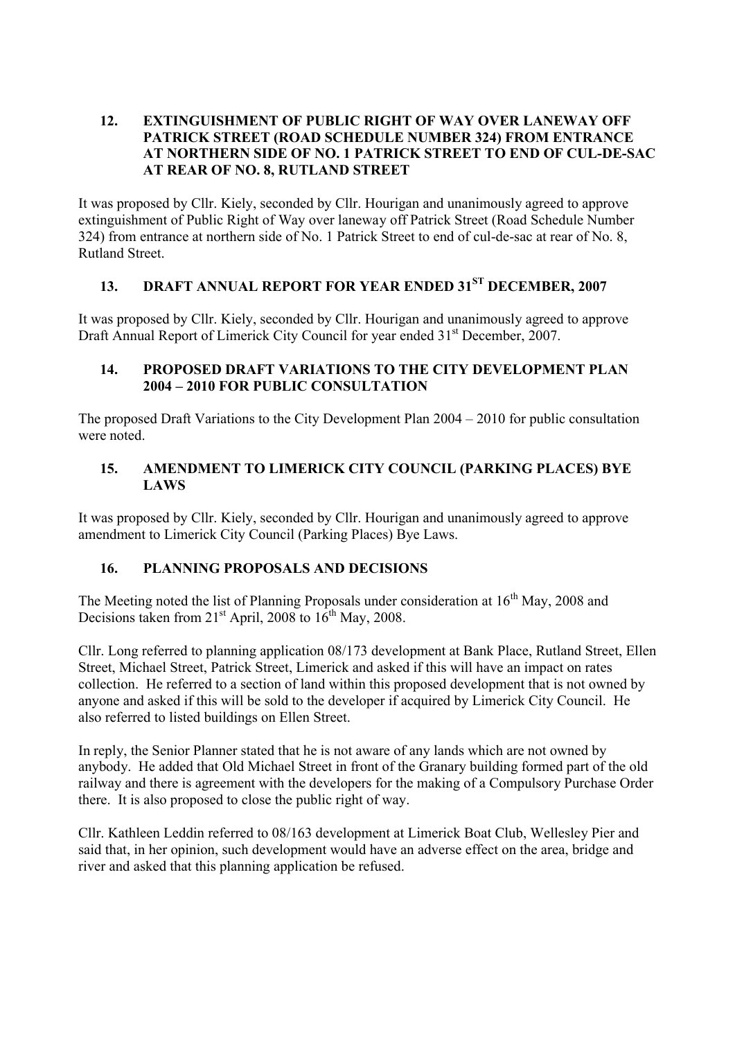#### **12. EXTINGUISHMENT OF PUBLIC RIGHT OF WAY OVER LANEWAY OFF PATRICK STREET (ROAD SCHEDULE NUMBER 324) FROM ENTRANCE AT NORTHERN SIDE OF NO. 1 PATRICK STREET TO END OF CUL-DE-SAC AT REAR OF NO. 8, RUTLAND STREET**

It was proposed by Cllr. Kiely, seconded by Cllr. Hourigan and unanimously agreed to approve extinguishment of Public Right of Way over laneway off Patrick Street (Road Schedule Number 324) from entrance at northern side of No. 1 Patrick Street to end of cul-de-sac at rear of No. 8, Rutland Street.

# **13. DRAFT ANNUAL REPORT FOR YEAR ENDED 31ST DECEMBER, 2007**

It was proposed by Cllr. Kiely, seconded by Cllr. Hourigan and unanimously agreed to approve Draft Annual Report of Limerick City Council for year ended 31<sup>st</sup> December, 2007.

#### **14. PROPOSED DRAFT VARIATIONS TO THE CITY DEVELOPMENT PLAN 2004 – 2010 FOR PUBLIC CONSULTATION**

The proposed Draft Variations to the City Development Plan 2004 – 2010 for public consultation were noted.

## **15. AMENDMENT TO LIMERICK CITY COUNCIL (PARKING PLACES) BYE LAWS**

It was proposed by Cllr. Kiely, seconded by Cllr. Hourigan and unanimously agreed to approve amendment to Limerick City Council (Parking Places) Bye Laws.

## **16. PLANNING PROPOSALS AND DECISIONS**

The Meeting noted the list of Planning Proposals under consideration at  $16<sup>th</sup>$  May, 2008 and Decisions taken from  $21<sup>st</sup>$  April, 2008 to  $16<sup>th</sup>$  May, 2008.

Cllr. Long referred to planning application 08/173 development at Bank Place, Rutland Street, Ellen Street, Michael Street, Patrick Street, Limerick and asked if this will have an impact on rates collection. He referred to a section of land within this proposed development that is not owned by anyone and asked if this will be sold to the developer if acquired by Limerick City Council. He also referred to listed buildings on Ellen Street.

In reply, the Senior Planner stated that he is not aware of any lands which are not owned by anybody. He added that Old Michael Street in front of the Granary building formed part of the old railway and there is agreement with the developers for the making of a Compulsory Purchase Order there. It is also proposed to close the public right of way.

Cllr. Kathleen Leddin referred to 08/163 development at Limerick Boat Club, Wellesley Pier and said that, in her opinion, such development would have an adverse effect on the area, bridge and river and asked that this planning application be refused.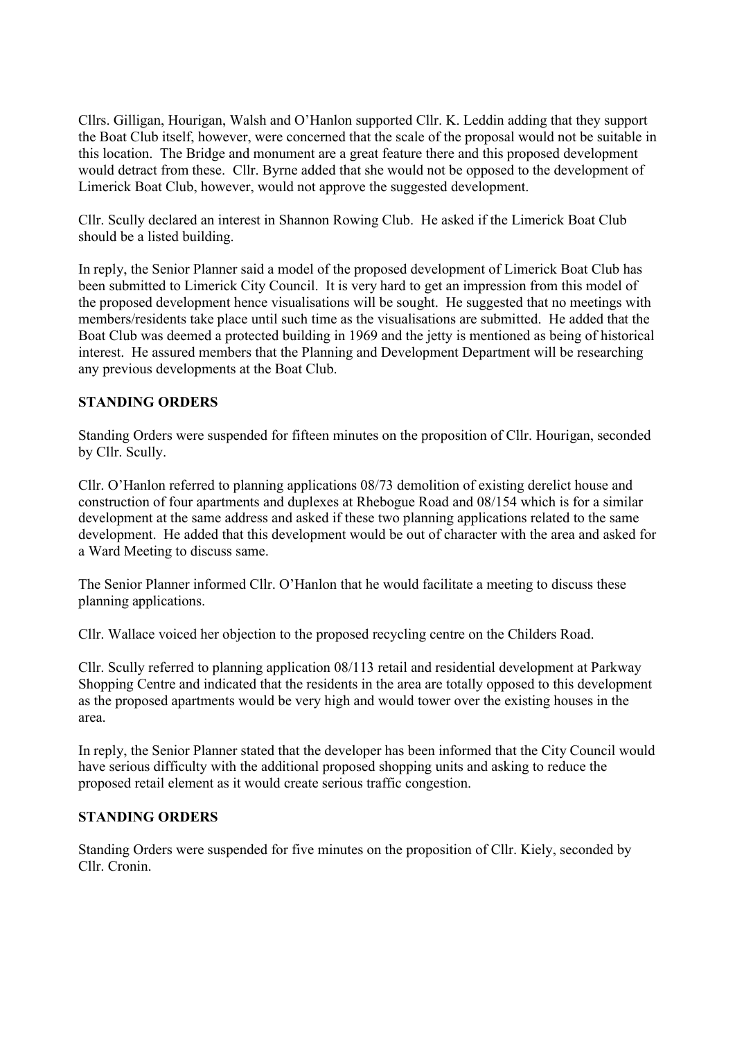Cllrs. Gilligan, Hourigan, Walsh and O'Hanlon supported Cllr. K. Leddin adding that they support the Boat Club itself, however, were concerned that the scale of the proposal would not be suitable in this location. The Bridge and monument are a great feature there and this proposed development would detract from these. Cllr. Byrne added that she would not be opposed to the development of Limerick Boat Club, however, would not approve the suggested development.

Cllr. Scully declared an interest in Shannon Rowing Club. He asked if the Limerick Boat Club should be a listed building.

In reply, the Senior Planner said a model of the proposed development of Limerick Boat Club has been submitted to Limerick City Council. It is very hard to get an impression from this model of the proposed development hence visualisations will be sought. He suggested that no meetings with members/residents take place until such time as the visualisations are submitted. He added that the Boat Club was deemed a protected building in 1969 and the jetty is mentioned as being of historical interest. He assured members that the Planning and Development Department will be researching any previous developments at the Boat Club.

#### **STANDING ORDERS**

Standing Orders were suspended for fifteen minutes on the proposition of Cllr. Hourigan, seconded by Cllr. Scully.

Cllr. O'Hanlon referred to planning applications 08/73 demolition of existing derelict house and construction of four apartments and duplexes at Rhebogue Road and 08/154 which is for a similar development at the same address and asked if these two planning applications related to the same development. He added that this development would be out of character with the area and asked for a Ward Meeting to discuss same.

The Senior Planner informed Cllr. O'Hanlon that he would facilitate a meeting to discuss these planning applications.

Cllr. Wallace voiced her objection to the proposed recycling centre on the Childers Road.

Cllr. Scully referred to planning application 08/113 retail and residential development at Parkway Shopping Centre and indicated that the residents in the area are totally opposed to this development as the proposed apartments would be very high and would tower over the existing houses in the area.

In reply, the Senior Planner stated that the developer has been informed that the City Council would have serious difficulty with the additional proposed shopping units and asking to reduce the proposed retail element as it would create serious traffic congestion.

#### **STANDING ORDERS**

Standing Orders were suspended for five minutes on the proposition of Cllr. Kiely, seconded by Cllr. Cronin.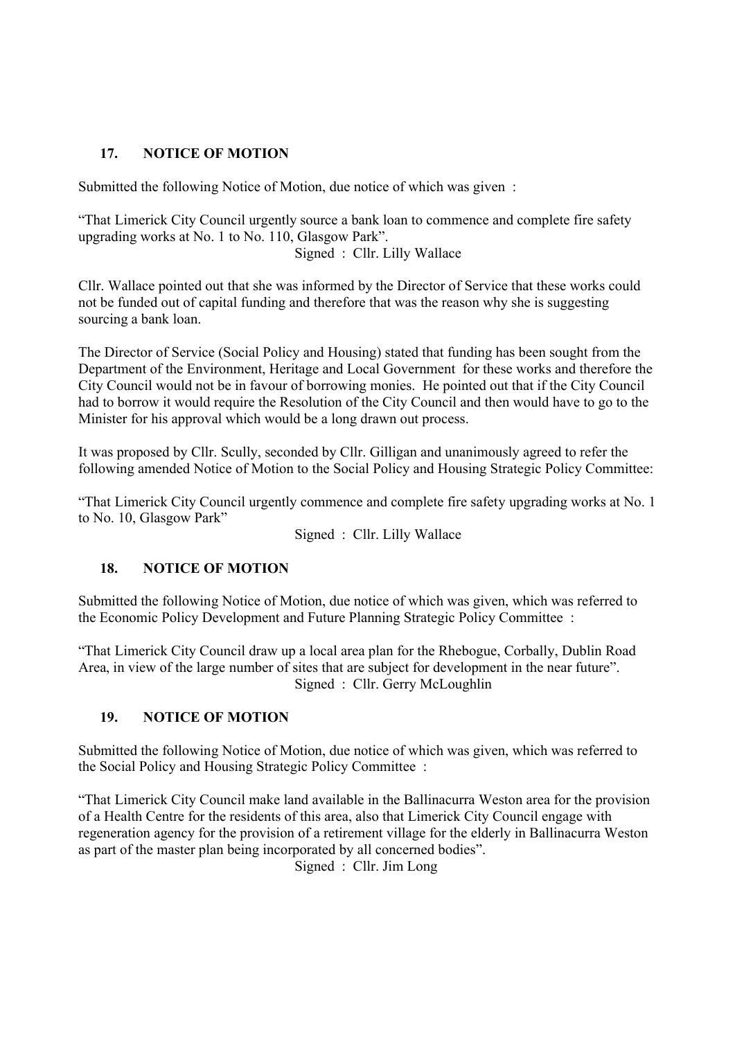## **17. NOTICE OF MOTION**

Submitted the following Notice of Motion, due notice of which was given :

"That Limerick City Council urgently source a bank loan to commence and complete fire safety upgrading works at No. 1 to No. 110, Glasgow Park". Signed : Cllr. Lilly Wallace

Cllr. Wallace pointed out that she was informed by the Director of Service that these works could not be funded out of capital funding and therefore that was the reason why she is suggesting sourcing a bank loan.

The Director of Service (Social Policy and Housing) stated that funding has been sought from the Department of the Environment, Heritage and Local Government for these works and therefore the City Council would not be in favour of borrowing monies. He pointed out that if the City Council had to borrow it would require the Resolution of the City Council and then would have to go to the Minister for his approval which would be a long drawn out process.

It was proposed by Cllr. Scully, seconded by Cllr. Gilligan and unanimously agreed to refer the following amended Notice of Motion to the Social Policy and Housing Strategic Policy Committee:

"That Limerick City Council urgently commence and complete fire safety upgrading works at No. 1 to No. 10, Glasgow Park"

Signed : Cllr. Lilly Wallace

#### **18. NOTICE OF MOTION**

Submitted the following Notice of Motion, due notice of which was given, which was referred to the Economic Policy Development and Future Planning Strategic Policy Committee :

"That Limerick City Council draw up a local area plan for the Rhebogue, Corbally, Dublin Road Area, in view of the large number of sites that are subject for development in the near future". Signed : Cllr. Gerry McLoughlin

#### **19. NOTICE OF MOTION**

Submitted the following Notice of Motion, due notice of which was given, which was referred to the Social Policy and Housing Strategic Policy Committee :

"That Limerick City Council make land available in the Ballinacurra Weston area for the provision of a Health Centre for the residents of this area, also that Limerick City Council engage with regeneration agency for the provision of a retirement village for the elderly in Ballinacurra Weston as part of the master plan being incorporated by all concerned bodies".

Signed : Cllr. Jim Long